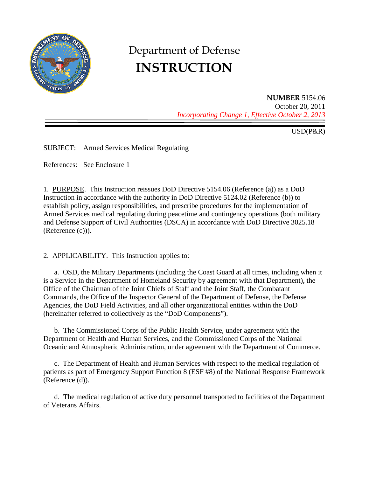

# Department of Defense **INSTRUCTION**

**NUMBER** 5154.06 October 20, 2011 *Incorporating Change 1, Effective October 2, 2013*

USD(P&R)

SUBJECT: Armed Services Medical Regulating

References: See Enclosure 1

1. PURPOSE. This Instruction reissues DoD Directive 5154.06 (Reference (a)) as a DoD Instruction in accordance with the authority in DoD Directive 5124.02 (Reference (b)) to establish policy, assign responsibilities, and prescribe procedures for the implementation of Armed Services medical regulating during peacetime and contingency operations (both military and Defense Support of Civil Authorities (DSCA) in accordance with DoD Directive 3025.18 (Reference (c))).

2. APPLICABILITY. This Instruction applies to:

a. OSD, the Military Departments (including the Coast Guard at all times, including when it is a Service in the Department of Homeland Security by agreement with that Department), the Office of the Chairman of the Joint Chiefs of Staff and the Joint Staff, the Combatant Commands, the Office of the Inspector General of the Department of Defense, the Defense Agencies, the DoD Field Activities, and all other organizational entities within the DoD (hereinafter referred to collectively as the "DoD Components").

b. The Commissioned Corps of the Public Health Service, under agreement with the Department of Health and Human Services, and the Commissioned Corps of the National Oceanic and Atmospheric Administration, under agreement with the Department of Commerce.

c. The Department of Health and Human Services with respect to the medical regulation of patients as part of Emergency Support Function 8 (ESF #8) of the National Response Framework (Reference (d)).

d. The medical regulation of active duty personnel transported to facilities of the Department of Veterans Affairs.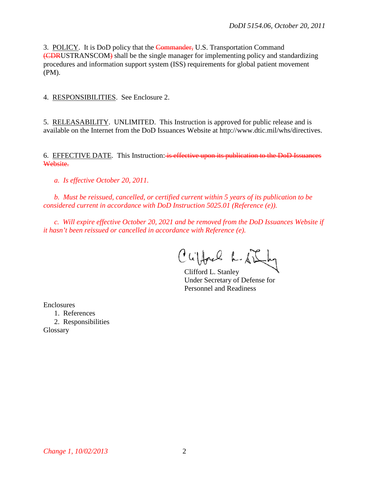3. POLICY. It is DoD policy that the Commander, U.S. Transportation Command (CDRUSTRANSCOM) shall be the single manager for implementing policy and standardizing procedures and information support system (ISS) requirements for global patient movement (PM).

4. RESPONSIBILITIES. See Enclosure 2.

5. RELEASABILITY. UNLIMITED. This Instruction is approved for public release and is available on the Internet from the DoD Issuances Website at http://www.dtic.mil/whs/directives.

6. EFFECTIVE DATE. This Instruction: is effective upon its publication to the DoD Issuances Website.

*a. Is effective October 20, 2011.*

*b. Must be reissued, cancelled, or certified current within 5 years of its publication to be considered current in accordance with DoD Instruction 5025.01 (Reference (e)).* 

*c. Will expire effective October 20, 2021 and be removed from the DoD Issuances Website if it hasn't been reissued or cancelled in accordance with Reference (e).*

Cufford L. S.

Clifford L. Stanley Under Secretary of Defense for Personnel and Readiness

Enclosures

1. References 2. Responsibilities Glossary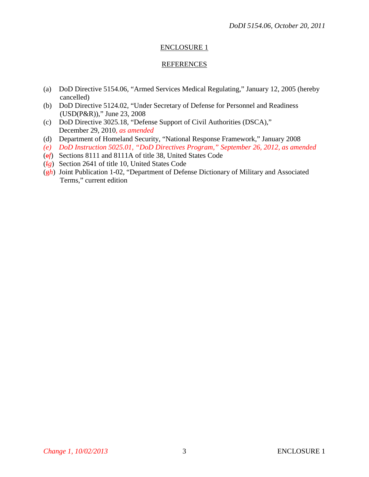### ENCLOSURE 1

### REFERENCES

- (a) DoD Directive 5154.06, "Armed Services Medical Regulating," January 12, 2005 (hereby cancelled)
- (b) DoD Directive 5124.02, "Under Secretary of Defense for Personnel and Readiness (USD(P&R))," June 23, 2008
- (c) DoD Directive 3025.18, "Defense Support of Civil Authorities (DSCA)," December 29, 2010*, as amended*
- (d) Department of Homeland Security, "National Response Framework," January 2008
- *(e) DoD Instruction 5025.01, "DoD Directives Program," September 26, 2012, as amended*
- (e*f*) Sections 8111 and 8111A of title 38, United States Code
- (f*g*) Section 2641 of title 10, United States Code
- (g*h*) Joint Publication 1-02, "Department of Defense Dictionary of Military and Associated Terms," current edition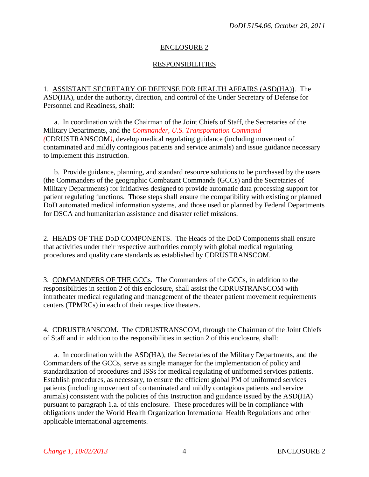## ENCLOSURE 2

## RESPONSIBILITIES

1. ASSISTANT SECRETARY OF DEFENSE FOR HEALTH AFFAIRS (ASD(HA)). The ASD(HA), under the authority, direction, and control of the Under Secretary of Defense for Personnel and Readiness, shall:

a. In coordination with the Chairman of the Joint Chiefs of Staff, the Secretaries of the Military Departments, and the *Commander, U.S. Transportation Command (*CDRUSTRANSCOM*)*, develop medical regulating guidance (including movement of contaminated and mildly contagious patients and service animals) and issue guidance necessary to implement this Instruction.

b. Provide guidance, planning, and standard resource solutions to be purchased by the users (the Commanders of the geographic Combatant Commands (GCCs) and the Secretaries of Military Departments) for initiatives designed to provide automatic data processing support for patient regulating functions. Those steps shall ensure the compatibility with existing or planned DoD automated medical information systems, and those used or planned by Federal Departments for DSCA and humanitarian assistance and disaster relief missions.

2. HEADS OF THE DoD COMPONENTS. The Heads of the DoD Components shall ensure that activities under their respective authorities comply with global medical regulating procedures and quality care standards as established by CDRUSTRANSCOM.

3. COMMANDERS OF THE GCCs. The Commanders of the GCCs, in addition to the responsibilities in section 2 of this enclosure, shall assist the CDRUSTRANSCOM with intratheater medical regulating and management of the theater patient movement requirements centers (TPMRCs) in each of their respective theaters.

4. CDRUSTRANSCOM. The CDRUSTRANSCOM, through the Chairman of the Joint Chiefs of Staff and in addition to the responsibilities in section 2 of this enclosure, shall:

a. In coordination with the ASD(HA), the Secretaries of the Military Departments, and the Commanders of the GCCs, serve as single manager for the implementation of policy and standardization of procedures and ISSs for medical regulating of uniformed services patients. Establish procedures, as necessary, to ensure the efficient global PM of uniformed services patients (including movement of contaminated and mildly contagious patients and service animals) consistent with the policies of this Instruction and guidance issued by the ASD(HA) pursuant to paragraph 1.a. of this enclosure. These procedures will be in compliance with obligations under the World Health Organization International Health Regulations and other applicable international agreements.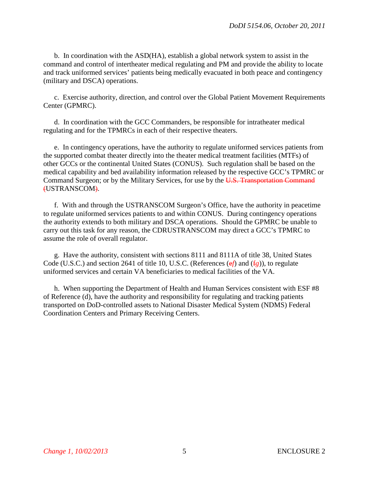b. In coordination with the ASD(HA), establish a global network system to assist in the command and control of intertheater medical regulating and PM and provide the ability to locate and track uniformed services' patients being medically evacuated in both peace and contingency (military and DSCA) operations.

c. Exercise authority, direction, and control over the Global Patient Movement Requirements Center (GPMRC).

d. In coordination with the GCC Commanders, be responsible for intratheater medical regulating and for the TPMRCs in each of their respective theaters.

e. In contingency operations, have the authority to regulate uniformed services patients from the supported combat theater directly into the theater medical treatment facilities (MTFs) of other GCCs or the continental United States (CONUS). Such regulation shall be based on the medical capability and bed availability information released by the respective GCC's TPMRC or Command Surgeon; or by the Military Services, for use by the U.S. Transportation Command (USTRANSCOM).

f. With and through the USTRANSCOM Surgeon's Office, have the authority in peacetime to regulate uniformed services patients to and within CONUS. During contingency operations the authority extends to both military and DSCA operations. Should the GPMRC be unable to carry out this task for any reason, the CDRUSTRANSCOM may direct a GCC's TPMRC to assume the role of overall regulator.

g. Have the authority, consistent with sections 8111 and 8111A of title 38, United States Code (U.S.C.) and section 2641 of title 10, U.S.C. (References (ef) and ( $f$ g)), to regulate uniformed services and certain VA beneficiaries to medical facilities of the VA.

h. When supporting the Department of Health and Human Services consistent with ESF #8 of Reference (d), have the authority and responsibility for regulating and tracking patients transported on DoD-controlled assets to National Disaster Medical System (NDMS) Federal Coordination Centers and Primary Receiving Centers.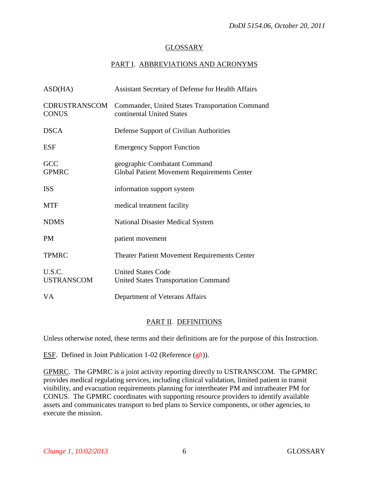### GLOSSARY

# PART I. ABBREVIATIONS AND ACRONYMS

| ASD(HA)                       | <b>Assistant Secretary of Defense for Health Affairs</b>                           |
|-------------------------------|------------------------------------------------------------------------------------|
| CDRUSTRANSCOM<br><b>CONUS</b> | Commander, United States Transportation Command<br>continental United States       |
| <b>DSCA</b>                   | Defense Support of Civilian Authorities                                            |
| <b>ESF</b>                    | <b>Emergency Support Function</b>                                                  |
| GCC<br><b>GPMRC</b>           | geographic Combatant Command<br><b>Global Patient Movement Requirements Center</b> |
| <b>ISS</b>                    | information support system                                                         |
| <b>MTF</b>                    | medical treatment facility                                                         |
| <b>NDMS</b>                   | <b>National Disaster Medical System</b>                                            |
| <b>PM</b>                     | patient movement                                                                   |
| <b>TPMRC</b>                  | Theater Patient Movement Requirements Center                                       |
| U.S.C.<br><b>USTRANSCOM</b>   | <b>United States Code</b><br><b>United States Transportation Command</b>           |
| <b>VA</b>                     | Department of Veterans Affairs                                                     |

# PART II. DEFINITIONS

Unless otherwise noted, these terms and their definitions are for the purpose of this Instruction.

ESF. Defined in Joint Publication 1-02 (Reference (g*h*)).

GPMRC. The GPMRC is a joint activity reporting directly to USTRANSCOM. The GPMRC provides medical regulating services, including clinical validation, limited patient in transit visibility, and evacuation requirements planning for intertheater PM and intratheater PM for CONUS. The GPMRC coordinates with supporting resource providers to identify available assets and communicates transport to bed plans to Service components, or other agencies, to execute the mission.